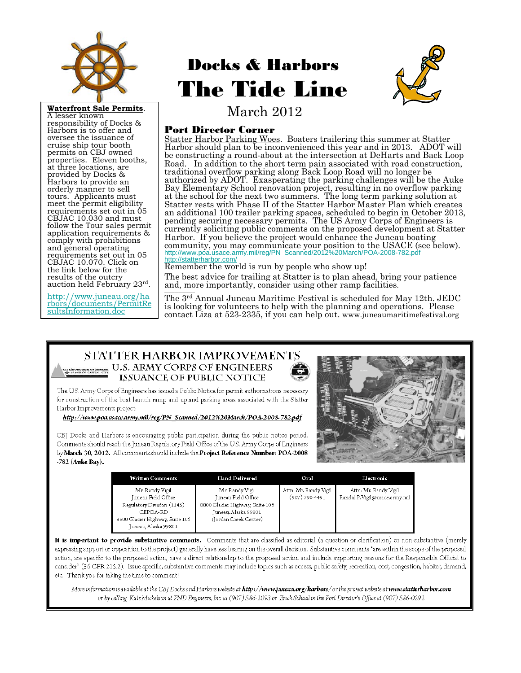

responsibility of Docks & Harbors is to offer and oversee the issuance of cruise ship tour booth permits on CBJ owned properties. Eleven booths, at three locations, are provided by Docks & Harbors to provide an orderly manner to sell tours. Applicants must meet the permit eligibility requirements set out in 05 CBJAC 10.030 and must follow the Tour sales permit application requirements & comply with prohibitions and general operating requirements set out in 05 CBJAC 10.070. Click on the link below for the results of the outcry auction held February 23rd.

http://www.juneau.org/ha rbors/documents/PermitRe [sultsInformation.doc](http://www.juneau.org/harbors/documents/PermitResultsInformation.doc)

# Docks & Harbors The Tide Line



March 2012 **Waterfront Sale Permits**[. A lesser known](http://www.juneau.org/harbors/documents/PermitResultsInformation.doc) 

#### Port Director Corner

Statter Harbor Parking Woes. Boaters trailering this summer at Statter Harbor should plan to be inconvenienced this year and in 2013. ADOT will be constructing a round-about at the intersection at DeHarts and Back Loop Road. In addition to the short term pain associated with road construction, traditional overflow parking along Back Loop Road will no longer be authorized by ADOT. Exasperating the parking challenges will be the Auke Bay Elementary School renovation project, resulting in no overflow parking at the school for the next two summers. The long term parking solution at Statter rests with Phase II of the Statter Harbor Master Plan which creates an additional 100 trailer parking spaces, scheduled to begin in October 2013, pending securing necessary permits. The US Army Corps of Engineers is currently soliciting public comments on the proposed development at Statter Harbor. If you believe the project would enhance the Juneau boating community, you may communicate your position to the USACE (see below).<br>[http://www.poa.usace.army.mil/reg/PN\\_Scanned/2012%20March/POA-2008-782.pdf](http://www.poa.usace.army.mil/reg/PN_Scanned/2012 March/POA-2008-782.pdf) <http://statterharbor.com/>

Remember the world is run by people who show up!

The best advice for trailing at Statter is to plan ahead, bring your patience and, more importantly, consider using other ramp facilities.

The 3rd Annual Juneau Maritime Festival is scheduled for May 12th. JEDC is looking for volunteers to help with the planning and operations. Please contact Liza at 523-2335, if you can help out. www.juneaumaritimefestival.org

#### STATTER HARBOR IMPROVEMENTS **EXAMPLE 1.5 ARMY CORPS OF ENGINEERS** ISSUANCE OF PUBLIC NOTICE

The U.S. Army Corps of Engineers has issued a Public Notice for permit authorizations necessary for construction of the boat launch ramp and upland parking areas associated with the Statter Harbor Improvements project:

http://www.poa.usace.army.mil/reg/PN\_Scanned/2012%20March/POA-2008-782.pdf

CBJ Docks and Harbors is encouraging public participation during the public notice period. Comments should reach the Juneau Regulatory Field Office of the U.S. Army Corps of Engineers by March 30, 2012. All comments should include the Project Reference Number: POA-2008 -782 (Auke Bay).



| Written Comments                                        | Hand-Delivered                                          | Oral                                    | Electronic                                             |
|---------------------------------------------------------|---------------------------------------------------------|-----------------------------------------|--------------------------------------------------------|
| Mr. Randy Vigil<br>Iuneau Field Office                  | Mr. Randy Vigil<br>Iuneau Field Office                  | Attn: Mr. Randy Vigil<br>(907) 790-4491 | Attn: Mr. Randy Vigil<br>Randal.P.Vigil@usace.army.mil |
| Regulatory Division (1145)<br>CEPOA-RD                  | 8800 Glacier Highway, Suite 106<br>Juneau, Alaska 99801 |                                         |                                                        |
| 8800 Glacier Highway, Suite 106<br>Juneau, Alaska 99801 | (Jordan Creek Center)                                   |                                         |                                                        |

It is important to provide substantive comments. Comments that are classified as editorial (a question or clarification) or non-substantive (merely expressing support or opposition to the project) generally have less bearing on the overall decision. Substantive comments "are within the scope of the proposed action, are specific to the proposed action, have a direct relationship to the proposed action and include supporting reasons for the Responsible Official to consider" (36 CFR 215.2). Issue specific, substantive comments may include topics such as access, public safety, recreation, cost, congestion, habitat, demand, etc. Thank you for taking the time to comment!

More information is available at the CBJ Docks and Harbors website at **http://www.juneau.org/harbors**/or the project website at **www.statterharbor.com** or by calling KateMickelson at PND Engineers, Inc. at (907) 586-2093 or Erich Schaal in the Port Director's Office at (907) 586-0292